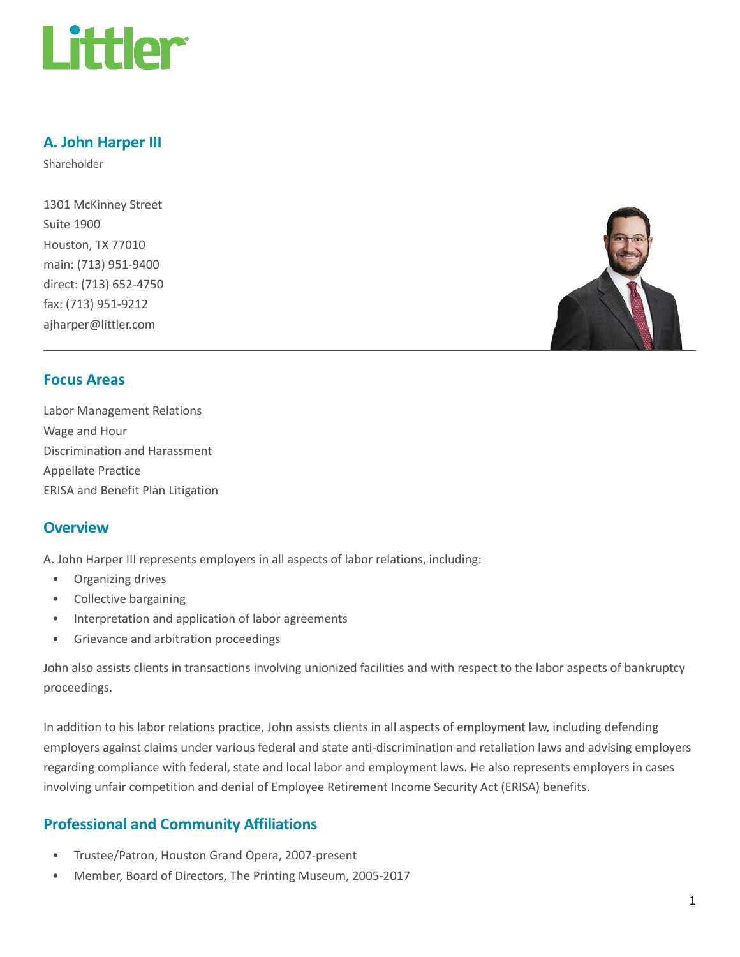

## A. John Harper III

Shareholder

1301 McKinney Street Suite 1900 Houston, TX 77010 main: (713) 951-9400 direct: (713) 652-4750 fax: (713) 951-9212 ajharper@littler.com



## Focus Areas

Labor Management Relations Wage and Hour Discrimination and Harassment Appellate Practice ERISA and Benefit Plan Litigation

## **Overview**

A. John Harper III represents employers in all aspects of labor relations, including:

- Organizing drives
- Collective bargaining
- Interpretation and application of labor agreements
- Grievance and arbitration proceedings

John also assists clients in transactions involving unionized facilities and with respect to the labor aspects of bankruptcy proceedings.

In addition to his labor relations practice, John assists clients in all aspects of employment law, including defending employers against claims under various federal and state anti-discrimination and retaliation laws and advising employers regarding compliance with federal, state and local labor and employment laws. He also represents employers in cases involving unfair competition and denial of Employee Retirement Income Security Act (ERISA) benefits.

## Professional and Community Affiliations

- Trustee/Patron, Houston Grand Opera, 2007-present
- Member, Board of Directors, The Printing Museum, 2005-2017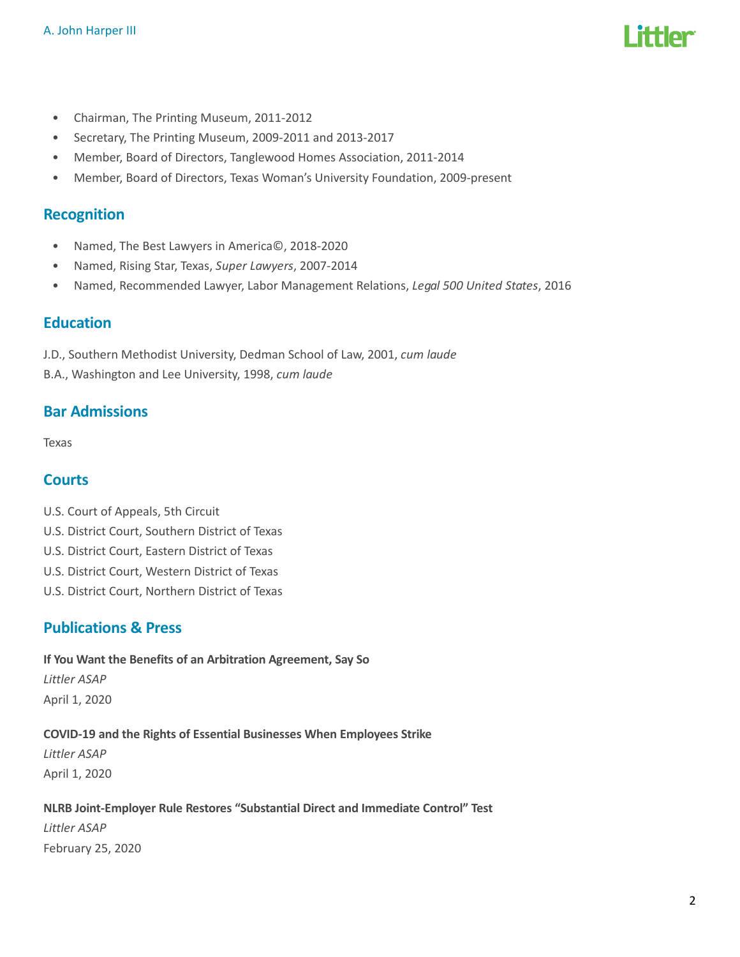

- Chairman, The Printing Museum, 2011-2012
- Secretary, The Printing Museum, 2009-2011 and 2013-2017
- Member, Board of Directors, Tanglewood Homes Association, 2011-2014
- Member, Board of Directors, Texas Woman's University Foundation, 2009-present

#### Recognition

- Named, The Best Lawyers in America©, 2018-2020
- Named, Rising Star, Texas, Super Lawyers, 2007-2014
- Named, Recommended Lawyer, Labor Management Relations, Legal 500 United States, 2016

#### Education

J.D., Southern Methodist University, Dedman School of Law, 2001, cum laude

B.A., Washington and Lee University, 1998, cum laude

## Bar Admissions

Texas

## **Courts**

- U.S. Court of Appeals, 5th Circuit
- U.S. District Court, Southern District of Texas
- U.S. District Court, Eastern District of Texas
- U.S. District Court, Western District of Texas
- U.S. District Court, Northern District of Texas

## Publications & Press

If You Want the Benefits of an Arbitration Agreement, Say So Littler ASAP April 1, 2020

#### COVID-19 and the Rights of Essential Businesses When Employees Strike

Littler ASAP April 1, 2020

## NLRB Joint-Employer Rule Restores "Substantial Direct and Immediate Control" Test Littler ASAP February 25, 2020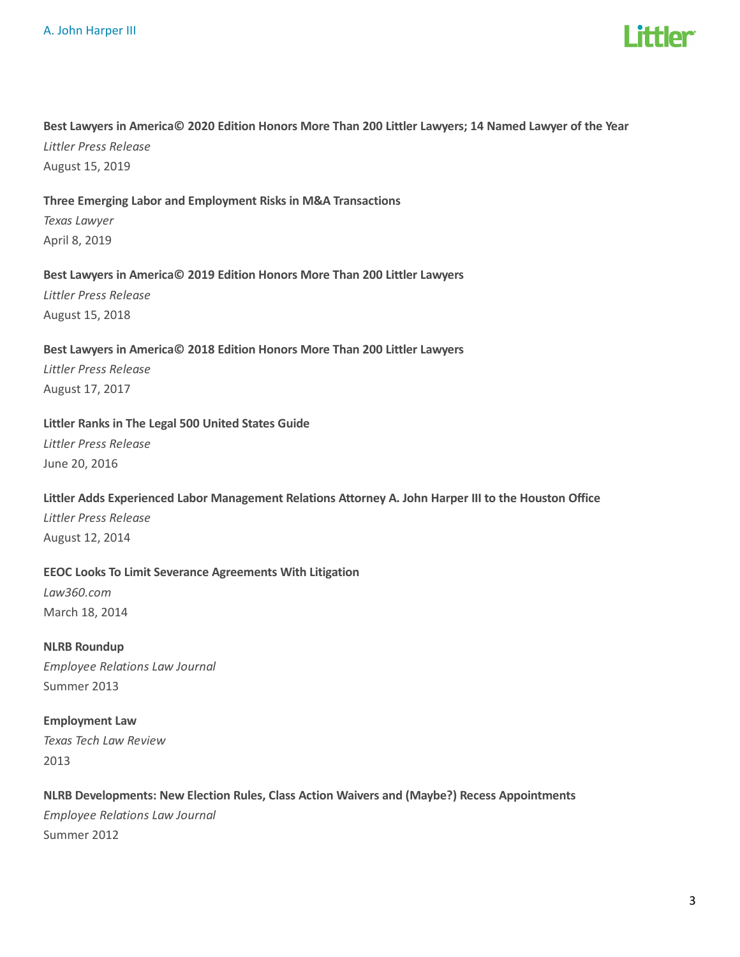

#### Best Lawyers in America© 2020 Edition Honors More Than 200 Littler Lawyers; 14 Named Lawyer of the Year

Littler Press Release August 15, 2019

#### Three Emerging Labor and Employment Risks in M&A Transactions

Texas Lawyer April 8, 2019

#### Best Lawyers in America© 2019 Edition Honors More Than 200 Littler Lawyers

Littler Press Release August 15, 2018

#### Best Lawyers in America© 2018 Edition Honors More Than 200 Littler Lawyers

Littler Press Release August 17, 2017

#### Littler Ranks in The Legal 500 United States Guide

Littler Press Release June 20, 2016

#### Littler Adds Experienced Labor Management Relations Attorney A. John Harper III to the Houston Office

Littler Press Release August 12, 2014

#### EEOC Looks To Limit Severance Agreements With Litigation

Law360.com March 18, 2014

NLRB Roundup Employee Relations Law Journal Summer 2013

Employment Law Texas Tech Law Review 2013

## NLRB Developments: New Election Rules, Class Action Waivers and (Maybe?) Recess Appointments Employee Relations Law Journal Summer 2012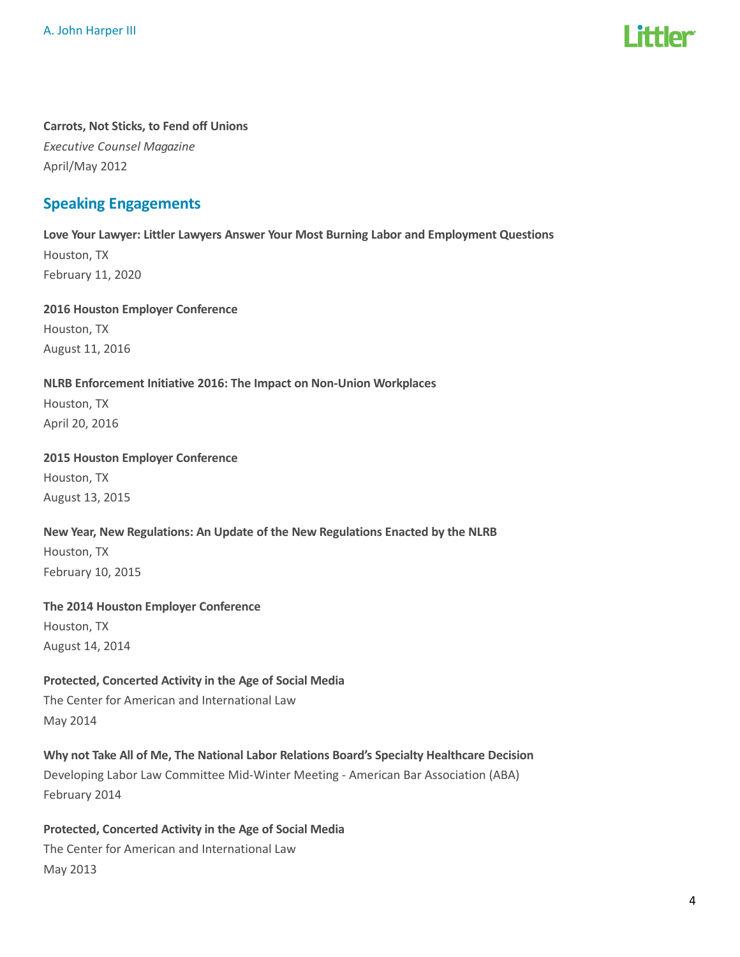# **ittlor**

## Carrots, Not Sticks, to Fend off Unions Executive Counsel Magazine

April/May 2012

## Speaking Engagements

Love Your Lawyer: Littler Lawyers Answer Your Most Burning Labor and Employment Questions Houston, TX February 11, 2020

2016 Houston Employer Conference Houston, TX August 11, 2016

#### NLRB Enforcement Initiative 2016: The Impact on Non-Union Workplaces

Houston, TX April 20, 2016

#### 2015 Houston Employer Conference

Houston, TX August 13, 2015

## New Year, New Regulations: An Update of the New Regulations Enacted by the NLRB Houston, TX February 10, 2015

## The 2014 Houston Employer Conference Houston, TX

August 14, 2014

## Protected, Concerted Activity in the Age of Social Media

The Center for American and International Law May 2014

## Why not Take All of Me, The National Labor Relations Board's Specialty Healthcare Decision

Developing Labor Law Committee Mid-Winter Meeting - American Bar Association (ABA) February 2014

## Protected, Concerted Activity in the Age of Social Media

The Center for American and International Law May 2013